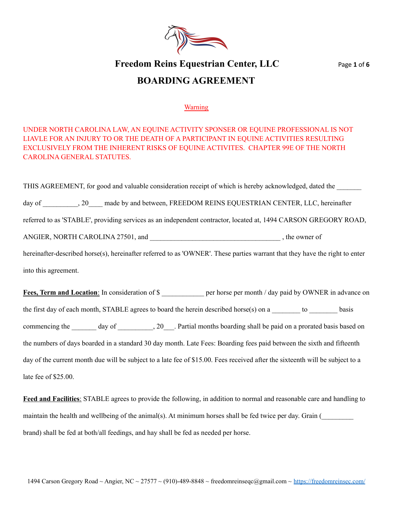

# **Freedom Reins Equestrian Center, LLC** Page **1** of **6 BOARDING AGREEMENT**

#### Warning

### UNDER NORTH CAROLINA LAW, AN EQUINE ACTIVITY SPONSER OR EQUINE PROFESSIONAL IS NOT LIAVLE FOR AN INJURY TO OR THE DEATH OF A PARTICIPANT IN EQUINE ACTIVITIES RESULTING EXCLUSIVELY FROM THE INHERENT RISKS OF EQUINE ACTIVITES. CHAPTER 99E OF THE NORTH CAROLINA GENERAL STATUTES.

THIS AGREEMENT, for good and valuable consideration receipt of which is hereby acknowledged, dated the \_\_\_\_\_\_\_ day of \_\_\_\_\_\_, 20\_\_\_\_ made by and between, FREEDOM REINS EQUESTRIAN CENTER, LLC, hereinafter referred to as 'STABLE', providing services as an independent contractor, located at, 1494 CARSON GREGORY ROAD, ANGIER, NORTH CAROLINA 27501, and \_\_\_\_\_\_\_\_\_\_\_\_\_\_\_\_\_\_\_\_\_\_\_\_\_\_\_\_\_\_\_\_\_\_\_\_\_ , the owner of hereinafter-described horse(s), hereinafter referred to as 'OWNER'. These parties warrant that they have the right to enter into this agreement. **Fees, Term and Location**: In consideration of \$ \_\_\_\_\_\_\_\_\_\_\_ per horse per month / day paid by OWNER in advance on

the first day of each month, STABLE agrees to board the herein described horse(s) on a  $\_\_\_\_\_\_$ to basis commencing the \_\_\_\_\_\_\_ day of \_\_\_\_\_\_\_\_, 20\_\_\_. Partial months boarding shall be paid on a prorated basis based on the numbers of days boarded in a standard 30 day month. Late Fees: Boarding fees paid between the sixth and fifteenth day of the current month due will be subject to a late fee of \$15.00. Fees received after the sixteenth will be subject to a late fee of \$25.00.

**Feed and Facilities**: STABLE agrees to provide the following, in addition to normal and reasonable care and handling to maintain the health and wellbeing of the animal(s). At minimum horses shall be fed twice per day. Grain ( brand) shall be fed at both/all feedings, and hay shall be fed as needed per horse.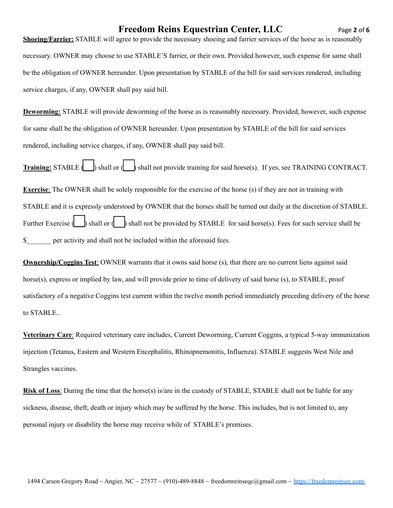# **Freedom Reins Equestrian Center, LLC** Page **2** of **6**

**Shoeing/Farrier:** STABLE will agree to provide the necessary shoeing and farrier services of the horse as is reasonably necessary. OWNER may choose to use STABLE'S farrier, or their own. Provided however, such expense for same shall be the obligation of OWNER hereunder. Upon presentation by STABLE of the bill for said services rendered, including service charges, if any, OWNER shall pay said bill.

**Deworming:** STABLE will provide deworming of the horse as is reasonably necessary. Provided, however, such expense for same shall be the obligation of OWNER hereunder. Upon presentation by STABLE of the bill for said services rendered, including service charges, if any, OWNER shall pay said bill.

**Training:** STABLE (\_\_\_) shall or (\_\_\_) shall not provide training for said horse(s). If yes, see TRAINING CONTRACT.

**Exercise**: The OWNER shall be solely responsible for the exercise of the horse (s) if they are not in training with STABLE and it is expressly understood by OWNER that the horses shall be turned out daily at the discretion of STABLE. Further Exercise  $\begin{vmatrix} \cdot & \cdot \\ \cdot & \cdot \end{vmatrix}$  shall not be provided by STABLE for said horse(s). Fees for such service shall be \$\_\_\_\_\_\_\_ per activity and shall not be included within the aforesaid fees.

**Ownership/Coggins Test**: OWNER warrants that it owns said horse (s), that there are no current liens against said horse(s), express or implied by law, and will provide prior to time of delivery of said horse (s), to STABLE, proof satisfactory of a negative Coggins test current within the twelve month period immediately preceding delivery of the horse to STABLE..

**Veterinary Care**: Required veterinary care includes, Current Deworming, Current Coggins, a typical 5-way immunization injection (Tetanus, Eastern and Western Encephalitis, Rhinopnemonitis, Influenza). STABLE suggests West Nile and Strangles vaccines.

**Risk of Loss**: During the time that the horse(s) is/are in the custody of STABLE, STABLE shall not be liable for any sickness, disease, theft, death or injury which may be suffered by the horse. This includes, but is not limited to, any personal injury or disability the horse may receive while of STABLE's premises.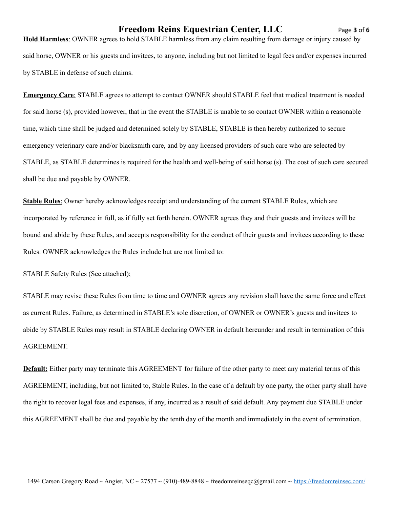### **Freedom Reins Equestrian Center, LLC** Page **3** of **6**

**Hold Harmless**: OWNER agrees to hold STABLE harmless from any claim resulting from damage or injury caused by said horse, OWNER or his guests and invitees, to anyone, including but not limited to legal fees and/or expenses incurred by STABLE in defense of such claims.

**Emergency Care**: STABLE agrees to attempt to contact OWNER should STABLE feel that medical treatment is needed for said horse (s), provided however, that in the event the STABLE is unable to so contact OWNER within a reasonable time, which time shall be judged and determined solely by STABLE, STABLE is then hereby authorized to secure emergency veterinary care and/or blacksmith care, and by any licensed providers of such care who are selected by STABLE, as STABLE determines is required for the health and well-being of said horse (s). The cost of such care secured shall be due and payable by OWNER.

**Stable Rules**: Owner hereby acknowledges receipt and understanding of the current STABLE Rules, which are incorporated by reference in full, as if fully set forth herein. OWNER agrees they and their guests and invitees will be bound and abide by these Rules, and accepts responsibility for the conduct of their guests and invitees according to these Rules. OWNER acknowledges the Rules include but are not limited to:

STABLE Safety Rules (See attached);

STABLE may revise these Rules from time to time and OWNER agrees any revision shall have the same force and effect as current Rules. Failure, as determined in STABLE's sole discretion, of OWNER or OWNER's guests and invitees to abide by STABLE Rules may result in STABLE declaring OWNER in default hereunder and result in termination of this AGREEMENT.

**Default:** Either party may terminate this AGREEMENT for failure of the other party to meet any material terms of this AGREEMENT, including, but not limited to, Stable Rules. In the case of a default by one party, the other party shall have the right to recover legal fees and expenses, if any, incurred as a result of said default. Any payment due STABLE under this AGREEMENT shall be due and payable by the tenth day of the month and immediately in the event of termination.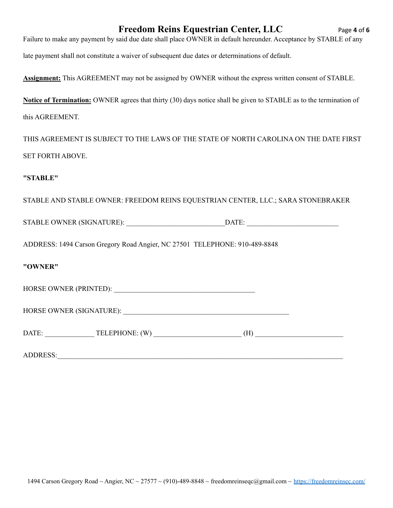# **Freedom Reins Equestrian Center, LLC** Page **4** of **6**

| Failure to make any payment by said due date shall place OWNER in default hereunder. Acceptance by STABLE of any |  |
|------------------------------------------------------------------------------------------------------------------|--|
|------------------------------------------------------------------------------------------------------------------|--|

late payment shall not constitute a waiver of subsequent due dates or determinations of default.

**Assignment:** This AGREEMENT may not be assigned by OWNER without the express written consent of STABLE.

**Notice of Termination:** OWNER agrees that thirty (30) days notice shall be given to STABLE as to the termination of this AGREEMENT.

THIS AGREEMENT IS SUBJECT TO THE LAWS OF THE STATE OF NORTH CAROLINA ON THE DATE FIRST SET FORTH ABOVE.

#### **"STABLE"**

STABLE AND STABLE OWNER: FREEDOM REINS EQUESTRIAN CENTER, LLC.; SARA STONEBRAKER

STABLE OWNER (SIGNATURE): \_\_\_\_\_\_\_\_\_\_\_\_\_\_\_\_\_\_\_\_\_\_\_\_\_\_\_\_DATE: \_\_\_\_\_\_\_\_\_\_\_\_\_\_\_\_\_\_\_\_\_\_\_\_\_\_

ADDRESS: 1494 Carson Gregory Road Angier, NC 27501 TELEPHONE: 910-489-8848

#### **"OWNER"**

HORSE OWNER (PRINTED): \_\_\_\_\_\_\_\_\_\_\_\_\_\_\_\_\_\_\_\_\_\_\_\_\_\_\_\_\_\_\_\_\_\_\_\_\_\_\_\_

HORSE OWNER (SIGNATURE): \_\_\_\_\_\_\_\_\_\_\_\_\_\_\_\_\_\_\_\_\_\_\_\_\_\_\_\_\_\_\_\_\_\_\_\_\_\_\_\_\_\_\_\_\_\_\_

ADDRESS: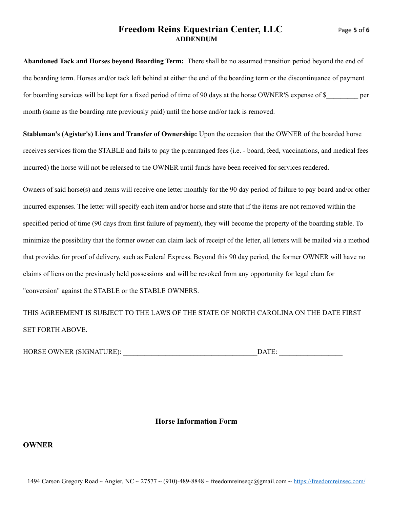### **Freedom Reins Equestrian Center, LLC** Page **5** of **6 ADDENDUM**

**Abandoned Tack and Horses beyond Boarding Term:** There shall be no assumed transition period beyond the end of the boarding term. Horses and/or tack left behind at either the end of the boarding term or the discontinuance of payment for boarding services will be kept for a fixed period of time of 90 days at the horse OWNER'S expense of \$ per month (same as the boarding rate previously paid) until the horse and/or tack is removed.

**Stableman's (Agister's) Liens and Transfer of Ownership:** Upon the occasion that the OWNER of the boarded horse receives services from the STABLE and fails to pay the prearranged fees (i.e. - board, feed, vaccinations, and medical fees incurred) the horse will not be released to the OWNER until funds have been received for services rendered.

Owners of said horse(s) and items will receive one letter monthly for the 90 day period of failure to pay board and/or other incurred expenses. The letter will specify each item and/or horse and state that if the items are not removed within the specified period of time (90 days from first failure of payment), they will become the property of the boarding stable. To minimize the possibility that the former owner can claim lack of receipt of the letter, all letters will be mailed via a method that provides for proof of delivery, such as Federal Express. Beyond this 90 day period, the former OWNER will have no claims of liens on the previously held possessions and will be revoked from any opportunity for legal clam for "conversion" against the STABLE or the STABLE OWNERS.

THIS AGREEMENT IS SUBJECT TO THE LAWS OF THE STATE OF NORTH CAROLINA ON THE DATE FIRST SET FORTH ABOVE.

| <b>HORSE OWNER (SIGNATURE):</b> | DATE |  |
|---------------------------------|------|--|
|                                 |      |  |

#### **Horse Information Form**

#### **OWNER**